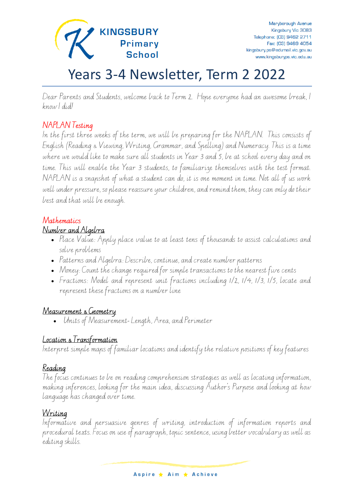

# Years 3-4 Newsletter, Term 2 2022

Dear Parents and Students, welcome back to Term 2. Hope everyone had an awesome break, I know I did!

#### NAPLAN Testing

In the first three weeks of the term, we will be preparing for the NAPLAN. This consists of English (Reading & Viewing, Writing, Grammar, and Spelling) and Numeracy. This is a time where we would like to make sure all students in Year 3 and 5, be at school every day and on time. This will enable the Year 3 students, to familiarize themselves with the test format. NAPLAN is a snapshot of what a student can do, it is one moment in time. Not all of us work well under pressure, so please reassure your children, and remind them, they can only do their best and that will be enough.

#### Mathematics

#### Number and Algebra

- Place Value: Apply place value to at least tens of thousands to assist calculations and solve problems
- Patterns and Algebra: Describe, continue, and create number patterns
- Money: Count the change required for simple transactions to the nearest five cents
- Fractions: Model and represent unit fractions including 1/2, 1/4, 1/3, 1/5, locate and represent these fractions on a number line

#### Measurement & Geometry

• Units of Measurement- Length, Area, and Perimeter

#### Location & Transformation

Interpret simple maps of familiar locations and identify the relative positions of key features

#### Reading

The focus continues to be on reading comprehension strategies as well as locating information, making inferences, looking for the main idea, discussing Author's Purpose and looking at how language has changed over time.

#### Writing

Informative and persuasive genres of writing, introduction of information reports and procedural texts. Focus on use of paragraph, topic sentence, using better vocabulary as well as editing skills.

Aspire ★ Aim ★ Achieve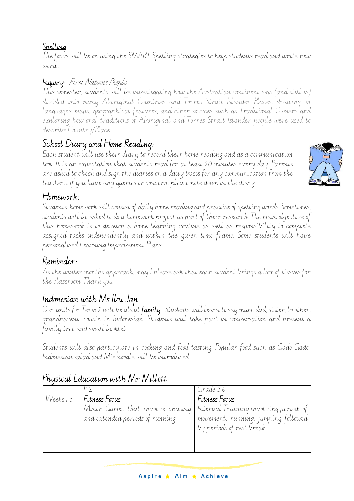#### Spelling

The focus will be on using the SMART Spelling strategies to help students read and write new words.

#### Inquiry: First Nations People

This semester, students will be investigating how the Australian continent was (and still is) divided into many Aboriginal Countries and Torres Strait Islander Places, drawing on language's maps, geographical features, and other sources such as Traditional Owners and exploring how oral traditions of Aboriginal and Torres Strait Islander people were used to describe Country/Place.

# School Diary and Home Reading:

Each student will use their diary to record their home reading and as a communication tool. It is an expectation that students read for at least 20 minutes every day. Parents are asked to check and sign the diaries on a daily basis for any communication from the teachers. If you have any queries or concern, please note down in the diary.



Students' homework will consist of daily home reading and practise of spelling words. Sometimes, students will be asked to do a homework project as part of their research. The main objective of this homework is to develop a home learning routine as well as responsibility to complete assigned tasks independently and within the given time frame. Some students will have personalised Learning Improvement Plans.

## Reminder:

As the winter months approach, may I please ask that each student brings a box of tissues for the classroom. Thank you

# Indonesian with Ms Ibu Jap

Our units for Term 2 will be about **family**. Students will learn to say mum, dad, sister, brother, grandparent, cousin in Indonesian. Students will take part in conversation and present a family tree and small booklet.

Students will also participate in cooking and food tasting. Popular food such as Gado Gado-Indonesian salad and Mie noodle will be introduced.

| Fitness Focus<br>Fitness Focus<br>VVeeks 1-5<br>Minor Games that involve chasing Interval Training involving periods of<br>and extended periods of running.<br>movement, running, jumping followed<br>by periods of rest break." |  | Grade 3-6 |
|----------------------------------------------------------------------------------------------------------------------------------------------------------------------------------------------------------------------------------|--|-----------|
|                                                                                                                                                                                                                                  |  |           |

## Physical Education with Mr Millott